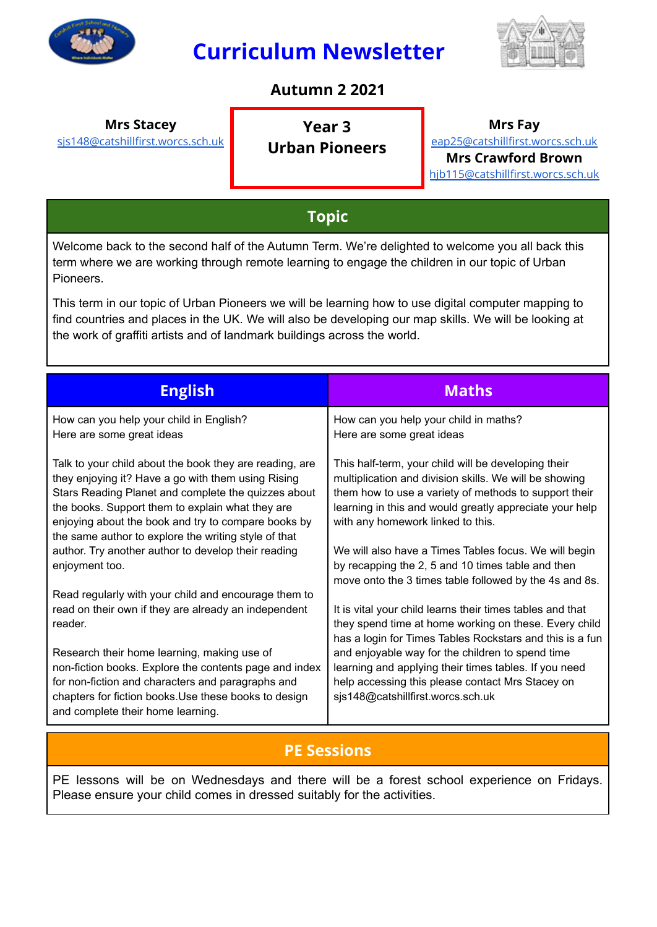

# **Curriculum Newsletter**



### **Autumn 2 2021**

**Mrs Stacey**

[sjs148@catshillfirst.worcs.sch.uk](mailto:sjs148@catshillfirst.worcs.sch.uk)

**Year 3 Urban Pioneers** **Mrs Fay**

[eap25@catshillfirst.worcs.sch.uk](mailto:eap25@catshillfirst.worcs.sch.uk) **Mrs Crawford Brown** [hjb115@catshillfirst.worcs.sch.uk](mailto:hjb115@catshillfirst.worcs.sch.uk)

## **Topic**

Welcome back to the second half of the Autumn Term. We're delighted to welcome you all back this term where we are working through remote learning to engage the children in our topic of Urban Pioneers.

This term in our topic of Urban Pioneers we will be learning how to use digital computer mapping to find countries and places in the UK. We will also be developing our map skills. We will be looking at the work of graffiti artists and of landmark buildings across the world.

| <b>English</b>                                                                                                                                                                                                                                                                                                                          | <b>Maths</b>                                                                                                                                                                                                                                                           |
|-----------------------------------------------------------------------------------------------------------------------------------------------------------------------------------------------------------------------------------------------------------------------------------------------------------------------------------------|------------------------------------------------------------------------------------------------------------------------------------------------------------------------------------------------------------------------------------------------------------------------|
| How can you help your child in English?<br>Here are some great ideas                                                                                                                                                                                                                                                                    | How can you help your child in maths?<br>Here are some great ideas                                                                                                                                                                                                     |
| Talk to your child about the book they are reading, are<br>they enjoying it? Have a go with them using Rising<br>Stars Reading Planet and complete the quizzes about<br>the books. Support them to explain what they are<br>enjoying about the book and try to compare books by<br>the same author to explore the writing style of that | This half-term, your child will be developing their<br>multiplication and division skills. We will be showing<br>them how to use a variety of methods to support their<br>learning in this and would greatly appreciate your help<br>with any homework linked to this. |
| author. Try another author to develop their reading<br>enjoyment too.                                                                                                                                                                                                                                                                   | We will also have a Times Tables focus. We will begin<br>by recapping the 2, 5 and 10 times table and then<br>move onto the 3 times table followed by the 4s and 8s.                                                                                                   |
| Read regularly with your child and encourage them to<br>read on their own if they are already an independent<br>reader.                                                                                                                                                                                                                 | It is vital your child learns their times tables and that<br>they spend time at home working on these. Every child<br>has a login for Times Tables Rockstars and this is a fun                                                                                         |
| Research their home learning, making use of<br>non-fiction books. Explore the contents page and index<br>for non-fiction and characters and paragraphs and<br>chapters for fiction books. Use these books to design<br>and complete their home learning.                                                                                | and enjoyable way for the children to spend time<br>learning and applying their times tables. If you need<br>help accessing this please contact Mrs Stacey on<br>sjs148@catshillfirst.worcs.sch.uk                                                                     |

## **PE Sessions**

PE lessons will be on Wednesdays and there will be a forest school experience on Fridays. Please ensure your child comes in dressed suitably for the activities.